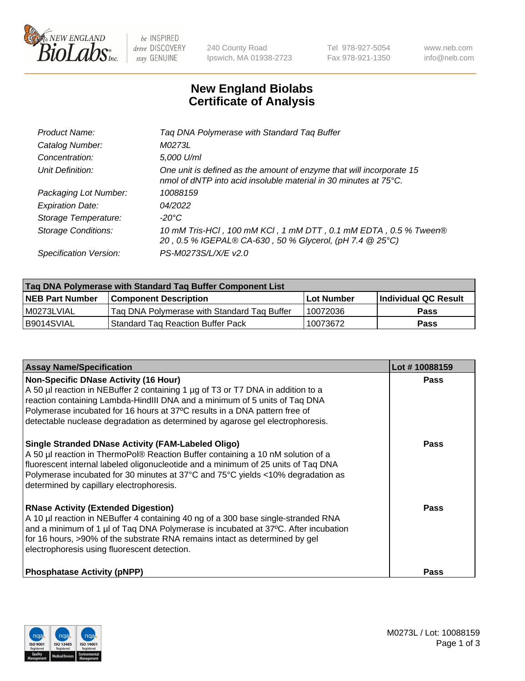

 $be$  INSPIRED drive DISCOVERY stay GENUINE

240 County Road Ipswich, MA 01938-2723 Tel 978-927-5054 Fax 978-921-1350 www.neb.com info@neb.com

## **New England Biolabs Certificate of Analysis**

| Product Name:           | Tag DNA Polymerase with Standard Tag Buffer                                                                                                        |
|-------------------------|----------------------------------------------------------------------------------------------------------------------------------------------------|
| Catalog Number:         | M0273L                                                                                                                                             |
| Concentration:          | 5,000 U/ml                                                                                                                                         |
| Unit Definition:        | One unit is defined as the amount of enzyme that will incorporate 15<br>nmol of dNTP into acid insoluble material in 30 minutes at $75^{\circ}$ C. |
| Packaging Lot Number:   | 10088159                                                                                                                                           |
| <b>Expiration Date:</b> | 04/2022                                                                                                                                            |
| Storage Temperature:    | $-20^{\circ}$ C                                                                                                                                    |
| Storage Conditions:     | 10 mM Tris-HCl, 100 mM KCl, 1 mM DTT, 0.1 mM EDTA, 0.5 % Tween®<br>20, 0.5 % IGEPAL® CA-630, 50 % Glycerol, (pH 7.4 @ 25°C)                        |
| Specification Version:  | PS-M0273S/L/X/E v2.0                                                                                                                               |

| Tag DNA Polymerase with Standard Tag Buffer Component List |                                             |                   |                      |  |
|------------------------------------------------------------|---------------------------------------------|-------------------|----------------------|--|
| <b>NEB Part Number</b>                                     | <b>Component Description</b>                | <b>Lot Number</b> | Individual QC Result |  |
| I M0273LVIAL                                               | Tag DNA Polymerase with Standard Tag Buffer | 10072036          | <b>Pass</b>          |  |
| B9014SVIAL                                                 | 'Standard Tag Reaction Buffer Pack          | 10073672          | <b>Pass</b>          |  |

| <b>Assay Name/Specification</b>                                                                                                                                                                                                                                                                                                                                              | Lot #10088159 |
|------------------------------------------------------------------------------------------------------------------------------------------------------------------------------------------------------------------------------------------------------------------------------------------------------------------------------------------------------------------------------|---------------|
| <b>Non-Specific DNase Activity (16 Hour)</b><br>A 50 µl reaction in NEBuffer 2 containing 1 µg of T3 or T7 DNA in addition to a<br>reaction containing Lambda-HindIII DNA and a minimum of 5 units of Taq DNA<br>Polymerase incubated for 16 hours at 37°C results in a DNA pattern free of<br>detectable nuclease degradation as determined by agarose gel electrophoresis. | <b>Pass</b>   |
| <b>Single Stranded DNase Activity (FAM-Labeled Oligo)</b><br>A 50 µl reaction in ThermoPol® Reaction Buffer containing a 10 nM solution of a<br>fluorescent internal labeled oligonucleotide and a minimum of 25 units of Taq DNA<br>Polymerase incubated for 30 minutes at 37°C and 75°C yields <10% degradation as<br>determined by capillary electrophoresis.             | Pass          |
| <b>RNase Activity (Extended Digestion)</b><br>A 10 µl reaction in NEBuffer 4 containing 40 ng of a 300 base single-stranded RNA<br>and a minimum of 1 µl of Taq DNA Polymerase is incubated at 37°C. After incubation<br>for 16 hours, >90% of the substrate RNA remains intact as determined by gel<br>electrophoresis using fluorescent detection.                         | <b>Pass</b>   |
| <b>Phosphatase Activity (pNPP)</b>                                                                                                                                                                                                                                                                                                                                           | Pass          |

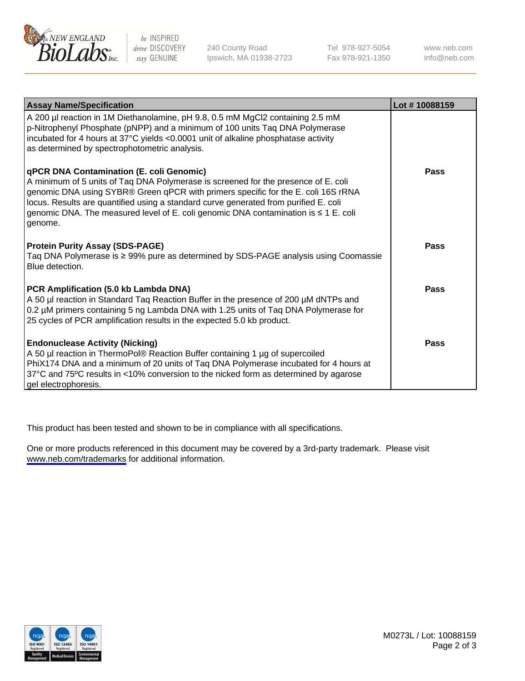

be INSPIRED drive DISCOVERY stay GENUINE

240 County Road Ipswich, MA 01938-2723 Tel 978-927-5054 Fax 978-921-1350

www.neb.com info@neb.com

| <b>Assay Name/Specification</b>                                                                                                                                                                                                                                                                                                                                                                                      | Lot #10088159 |
|----------------------------------------------------------------------------------------------------------------------------------------------------------------------------------------------------------------------------------------------------------------------------------------------------------------------------------------------------------------------------------------------------------------------|---------------|
| A 200 µl reaction in 1M Diethanolamine, pH 9.8, 0.5 mM MgCl2 containing 2.5 mM<br>p-Nitrophenyl Phosphate (pNPP) and a minimum of 100 units Taq DNA Polymerase<br>incubated for 4 hours at 37°C yields <0.0001 unit of alkaline phosphatase activity<br>as determined by spectrophotometric analysis.                                                                                                                |               |
| <b>qPCR DNA Contamination (E. coli Genomic)</b><br>A minimum of 5 units of Taq DNA Polymerase is screened for the presence of E. coli<br>genomic DNA using SYBR® Green qPCR with primers specific for the E. coli 16S rRNA<br>locus. Results are quantified using a standard curve generated from purified E. coli<br>genomic DNA. The measured level of E. coli genomic DNA contamination is ≤ 1 E. coli<br>genome. | <b>Pass</b>   |
| <b>Protein Purity Assay (SDS-PAGE)</b><br>Taq DNA Polymerase is ≥ 99% pure as determined by SDS-PAGE analysis using Coomassie<br>Blue detection.                                                                                                                                                                                                                                                                     | <b>Pass</b>   |
| PCR Amplification (5.0 kb Lambda DNA)<br>A 50 µl reaction in Standard Taq Reaction Buffer in the presence of 200 µM dNTPs and<br>0.2 µM primers containing 5 ng Lambda DNA with 1.25 units of Taq DNA Polymerase for<br>25 cycles of PCR amplification results in the expected 5.0 kb product.                                                                                                                       | Pass          |
| <b>Endonuclease Activity (Nicking)</b><br>A 50 µl reaction in ThermoPol® Reaction Buffer containing 1 µg of supercoiled<br>PhiX174 DNA and a minimum of 20 units of Taq DNA Polymerase incubated for 4 hours at<br>37°C and 75°C results in <10% conversion to the nicked form as determined by agarose<br>gel electrophoresis.                                                                                      | Pass          |

This product has been tested and shown to be in compliance with all specifications.

One or more products referenced in this document may be covered by a 3rd-party trademark. Please visit <www.neb.com/trademarks>for additional information.